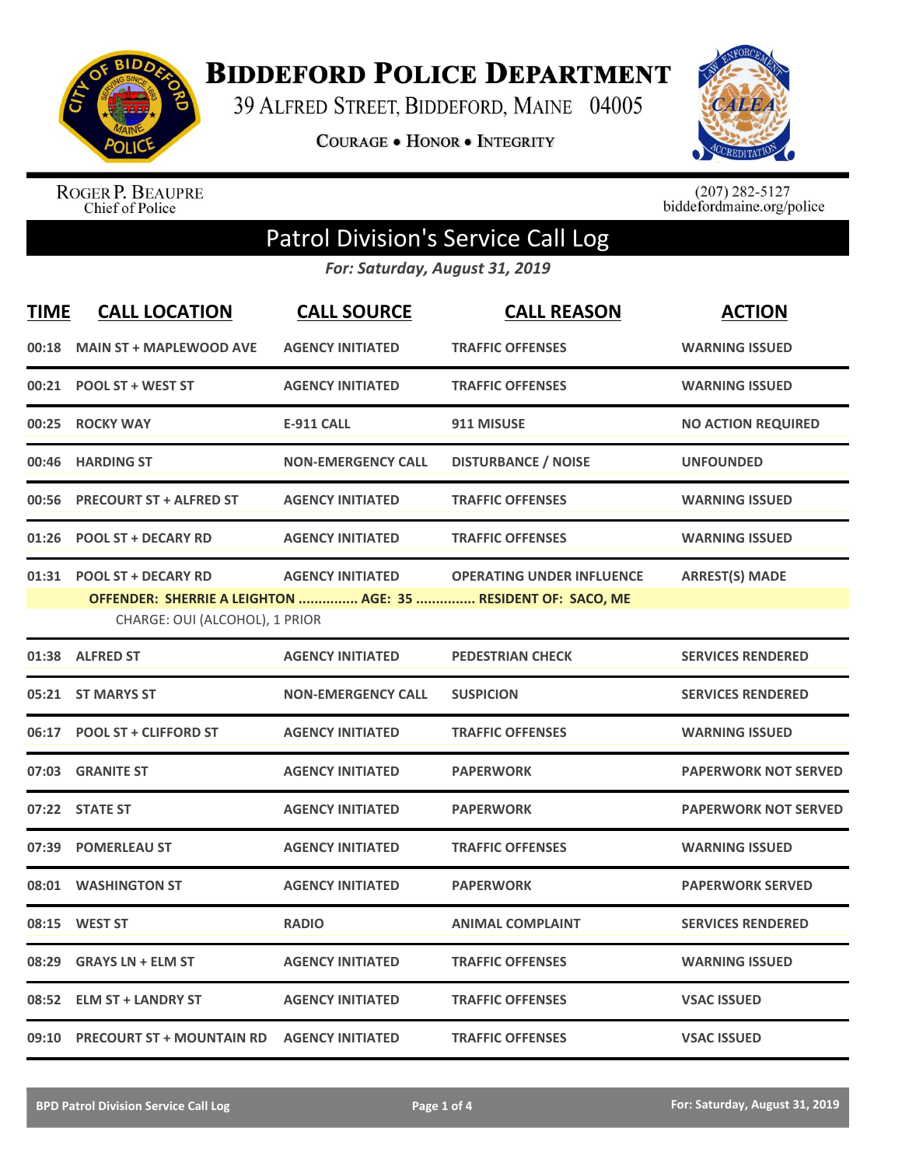

**BIDDEFORD POLICE DEPARTMENT** 

39 ALFRED STREET, BIDDEFORD, MAINE 04005

**COURAGE . HONOR . INTEGRITY** 



ROGER P. BEAUPRE<br>Chief of Police

 $(207)$  282-5127<br>biddefordmaine.org/police

## Patrol Division's Service Call Log

*For: Saturday, August 31, 2019*

| <b>TIME</b> | <b>CALL LOCATION</b>                                         | <b>CALL SOURCE</b>        | <b>CALL REASON</b>                                                                               | <b>ACTION</b>               |
|-------------|--------------------------------------------------------------|---------------------------|--------------------------------------------------------------------------------------------------|-----------------------------|
| 00:18       | <b>MAIN ST + MAPLEWOOD AVE</b>                               | <b>AGENCY INITIATED</b>   | <b>TRAFFIC OFFENSES</b>                                                                          | <b>WARNING ISSUED</b>       |
| 00:21       | <b>POOL ST + WEST ST</b>                                     | <b>AGENCY INITIATED</b>   | <b>TRAFFIC OFFENSES</b>                                                                          | <b>WARNING ISSUED</b>       |
| 00:25       | <b>ROCKY WAY</b>                                             | <b>E-911 CALL</b>         | 911 MISUSE                                                                                       | <b>NO ACTION REQUIRED</b>   |
| 00:46       | <b>HARDING ST</b>                                            | <b>NON-EMERGENCY CALL</b> | <b>DISTURBANCE / NOISE</b>                                                                       | <b>UNFOUNDED</b>            |
| 00:56       | <b>PRECOURT ST + ALFRED ST</b>                               | <b>AGENCY INITIATED</b>   | <b>TRAFFIC OFFENSES</b>                                                                          | <b>WARNING ISSUED</b>       |
| 01:26       | <b>POOL ST + DECARY RD</b>                                   | <b>AGENCY INITIATED</b>   | <b>TRAFFIC OFFENSES</b>                                                                          | <b>WARNING ISSUED</b>       |
| 01:31       | <b>POOL ST + DECARY RD</b><br>CHARGE: OUI (ALCOHOL), 1 PRIOR | <b>AGENCY INITIATED</b>   | <b>OPERATING UNDER INFLUENCE</b><br>OFFENDER: SHERRIE A LEIGHTON  AGE: 35  RESIDENT OF: SACO, ME | <b>ARREST(S) MADE</b>       |
|             | 01:38 ALFRED ST                                              | <b>AGENCY INITIATED</b>   | <b>PEDESTRIAN CHECK</b>                                                                          | <b>SERVICES RENDERED</b>    |
| 05:21       | <b>ST MARYS ST</b>                                           | <b>NON-EMERGENCY CALL</b> | <b>SUSPICION</b>                                                                                 | <b>SERVICES RENDERED</b>    |
| 06:17       | <b>POOL ST + CLIFFORD ST</b>                                 | <b>AGENCY INITIATED</b>   | <b>TRAFFIC OFFENSES</b>                                                                          | <b>WARNING ISSUED</b>       |
| 07:03       | <b>GRANITE ST</b>                                            | <b>AGENCY INITIATED</b>   | <b>PAPERWORK</b>                                                                                 | <b>PAPERWORK NOT SERVED</b> |
|             | 07:22 STATE ST                                               | <b>AGENCY INITIATED</b>   | <b>PAPERWORK</b>                                                                                 | <b>PAPERWORK NOT SERVED</b> |
| 07:39       | <b>POMERLEAU ST</b>                                          | <b>AGENCY INITIATED</b>   | <b>TRAFFIC OFFENSES</b>                                                                          | <b>WARNING ISSUED</b>       |
| 08:01       | <b>WASHINGTON ST</b>                                         | <b>AGENCY INITIATED</b>   | <b>PAPERWORK</b>                                                                                 | <b>PAPERWORK SERVED</b>     |
| 08:15       | <b>WEST ST</b>                                               | <b>RADIO</b>              | <b>ANIMAL COMPLAINT</b>                                                                          | <b>SERVICES RENDERED</b>    |
| 08:29       | <b>GRAYS LN + ELM ST</b>                                     | <b>AGENCY INITIATED</b>   | <b>TRAFFIC OFFENSES</b>                                                                          | <b>WARNING ISSUED</b>       |
| 08:52       | <b>ELM ST + LANDRY ST</b>                                    | <b>AGENCY INITIATED</b>   | <b>TRAFFIC OFFENSES</b>                                                                          | <b>VSAC ISSUED</b>          |
|             | 09:10 PRECOURT ST + MOUNTAIN RD AGENCY INITIATED             |                           | <b>TRAFFIC OFFENSES</b>                                                                          | <b>VSAC ISSUED</b>          |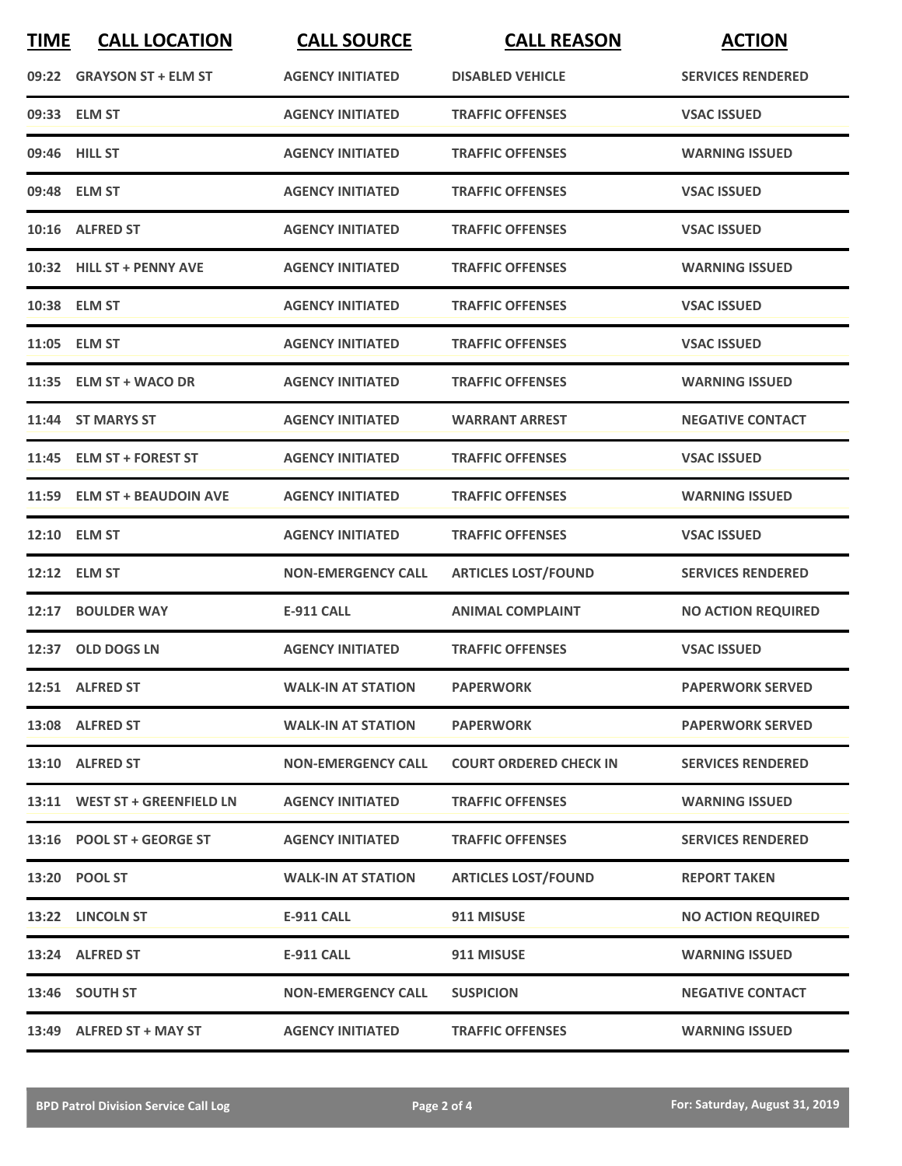| <b>TIME</b> | <b>CALL LOCATION</b>          | <b>CALL SOURCE</b>        | <b>CALL REASON</b>            | <b>ACTION</b>             |
|-------------|-------------------------------|---------------------------|-------------------------------|---------------------------|
|             | 09:22 GRAYSON ST + ELM ST     | <b>AGENCY INITIATED</b>   | <b>DISABLED VEHICLE</b>       | <b>SERVICES RENDERED</b>  |
|             | 09:33 ELM ST                  | <b>AGENCY INITIATED</b>   | <b>TRAFFIC OFFENSES</b>       | <b>VSAC ISSUED</b>        |
|             | 09:46 HILL ST                 | <b>AGENCY INITIATED</b>   | <b>TRAFFIC OFFENSES</b>       | <b>WARNING ISSUED</b>     |
|             | 09:48 ELM ST                  | <b>AGENCY INITIATED</b>   | <b>TRAFFIC OFFENSES</b>       | <b>VSAC ISSUED</b>        |
|             | 10:16 ALFRED ST               | <b>AGENCY INITIATED</b>   | <b>TRAFFIC OFFENSES</b>       | <b>VSAC ISSUED</b>        |
|             | 10:32 HILL ST + PENNY AVE     | <b>AGENCY INITIATED</b>   | <b>TRAFFIC OFFENSES</b>       | <b>WARNING ISSUED</b>     |
|             | 10:38 ELM ST                  | <b>AGENCY INITIATED</b>   | <b>TRAFFIC OFFENSES</b>       | <b>VSAC ISSUED</b>        |
|             | 11:05 ELM ST                  | <b>AGENCY INITIATED</b>   | <b>TRAFFIC OFFENSES</b>       | <b>VSAC ISSUED</b>        |
|             | 11:35 ELM ST + WACO DR        | <b>AGENCY INITIATED</b>   | <b>TRAFFIC OFFENSES</b>       | <b>WARNING ISSUED</b>     |
|             | 11:44 ST MARYS ST             | <b>AGENCY INITIATED</b>   | <b>WARRANT ARREST</b>         | <b>NEGATIVE CONTACT</b>   |
|             | 11:45 ELM ST + FOREST ST      | <b>AGENCY INITIATED</b>   | <b>TRAFFIC OFFENSES</b>       | <b>VSAC ISSUED</b>        |
|             | 11:59 ELM ST + BEAUDOIN AVE   | <b>AGENCY INITIATED</b>   | <b>TRAFFIC OFFENSES</b>       | <b>WARNING ISSUED</b>     |
|             | 12:10 ELM ST                  | <b>AGENCY INITIATED</b>   | <b>TRAFFIC OFFENSES</b>       | <b>VSAC ISSUED</b>        |
|             | 12:12 ELM ST                  | <b>NON-EMERGENCY CALL</b> | <b>ARTICLES LOST/FOUND</b>    | <b>SERVICES RENDERED</b>  |
| 12:17       | <b>BOULDER WAY</b>            | <b>E-911 CALL</b>         | <b>ANIMAL COMPLAINT</b>       | <b>NO ACTION REQUIRED</b> |
| 12:37       | <b>OLD DOGS LN</b>            | <b>AGENCY INITIATED</b>   | <b>TRAFFIC OFFENSES</b>       | <b>VSAC ISSUED</b>        |
|             | 12:51 ALFRED ST               | <b>WALK-IN AT STATION</b> | <b>PAPERWORK</b>              | <b>PAPERWORK SERVED</b>   |
|             | 13:08 ALFRED ST               | <b>WALK-IN AT STATION</b> | <b>PAPERWORK</b>              | <b>PAPERWORK SERVED</b>   |
|             | 13:10 ALFRED ST               | <b>NON-EMERGENCY CALL</b> | <b>COURT ORDERED CHECK IN</b> | <b>SERVICES RENDERED</b>  |
|             | 13:11 WEST ST + GREENFIELD LN | <b>AGENCY INITIATED</b>   | <b>TRAFFIC OFFENSES</b>       | <b>WARNING ISSUED</b>     |
|             | 13:16 POOL ST + GEORGE ST     | <b>AGENCY INITIATED</b>   | <b>TRAFFIC OFFENSES</b>       | <b>SERVICES RENDERED</b>  |
|             | 13:20 POOL ST                 | <b>WALK-IN AT STATION</b> | <b>ARTICLES LOST/FOUND</b>    | <b>REPORT TAKEN</b>       |
|             | 13:22 LINCOLN ST              | E-911 CALL                | 911 MISUSE                    | <b>NO ACTION REQUIRED</b> |
|             | 13:24 ALFRED ST               | <b>E-911 CALL</b>         | 911 MISUSE                    | <b>WARNING ISSUED</b>     |
|             | 13:46 SOUTH ST                | <b>NON-EMERGENCY CALL</b> | <b>SUSPICION</b>              | <b>NEGATIVE CONTACT</b>   |
|             | 13:49 ALFRED ST + MAY ST      | <b>AGENCY INITIATED</b>   | <b>TRAFFIC OFFENSES</b>       | <b>WARNING ISSUED</b>     |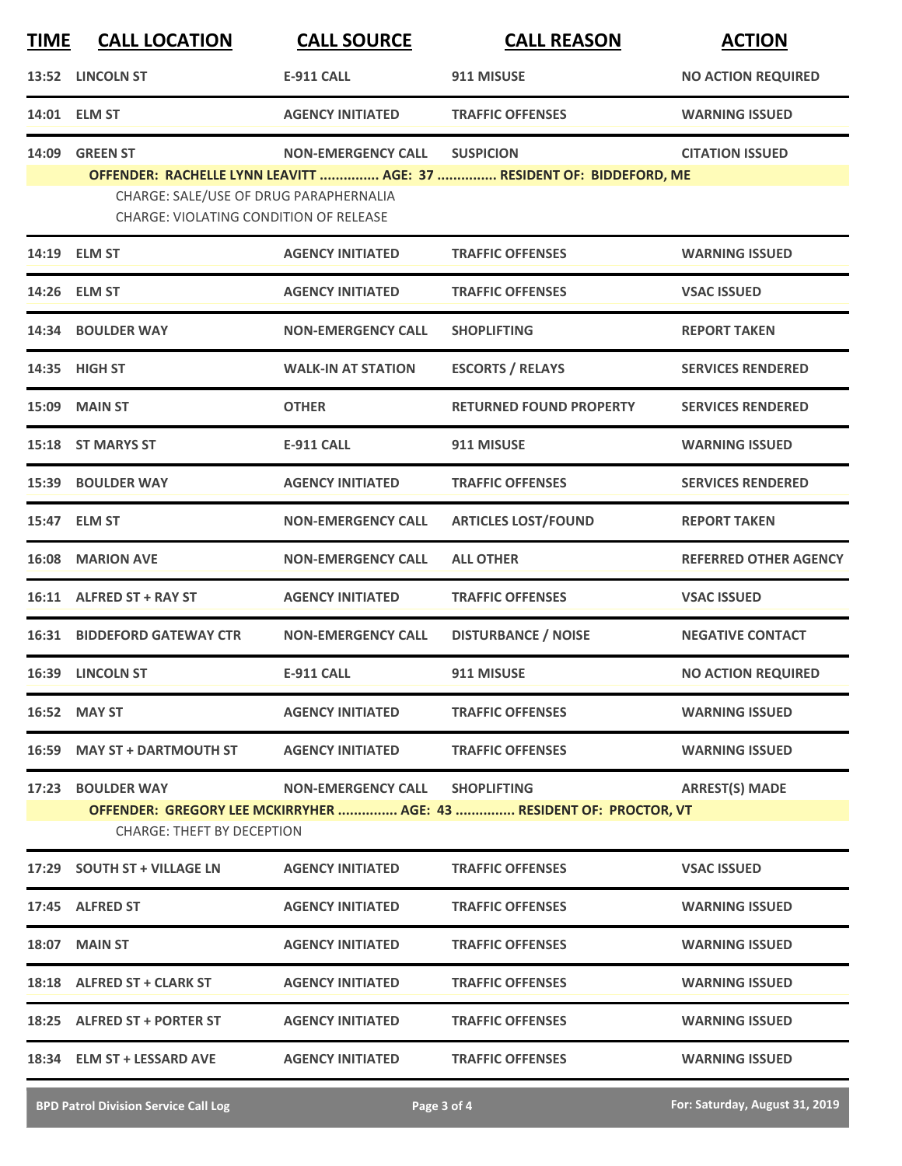| <u>TIME</u> | <b>CALL LOCATION</b>                                                                    | <b>CALL SOURCE</b>        | <b>CALL REASON</b>                                                                        | <b>ACTION</b>                |
|-------------|-----------------------------------------------------------------------------------------|---------------------------|-------------------------------------------------------------------------------------------|------------------------------|
| 13:52       | <b>LINCOLN ST</b>                                                                       | <b>E-911 CALL</b>         | 911 MISUSE                                                                                | <b>NO ACTION REQUIRED</b>    |
|             | 14:01 ELM ST                                                                            | <b>AGENCY INITIATED</b>   | <b>TRAFFIC OFFENSES</b>                                                                   | <b>WARNING ISSUED</b>        |
| 14:09       | <b>GREEN ST</b>                                                                         | <b>NON-EMERGENCY CALL</b> | <b>SUSPICION</b><br>OFFENDER: RACHELLE LYNN LEAVITT  AGE: 37  RESIDENT OF: BIDDEFORD, ME  | <b>CITATION ISSUED</b>       |
|             | CHARGE: SALE/USE OF DRUG PARAPHERNALIA<br><b>CHARGE: VIOLATING CONDITION OF RELEASE</b> |                           |                                                                                           |                              |
|             | 14:19 ELM ST                                                                            | <b>AGENCY INITIATED</b>   | <b>TRAFFIC OFFENSES</b>                                                                   | <b>WARNING ISSUED</b>        |
| 14:26       | <b>ELM ST</b>                                                                           | <b>AGENCY INITIATED</b>   | <b>TRAFFIC OFFENSES</b>                                                                   | <b>VSAC ISSUED</b>           |
| 14:34       | <b>BOULDER WAY</b>                                                                      | <b>NON-EMERGENCY CALL</b> | <b>SHOPLIFTING</b>                                                                        | <b>REPORT TAKEN</b>          |
| 14:35       | <b>HIGH ST</b>                                                                          | <b>WALK-IN AT STATION</b> | <b>ESCORTS / RELAYS</b>                                                                   | <b>SERVICES RENDERED</b>     |
| 15:09       | <b>MAIN ST</b>                                                                          | <b>OTHER</b>              | <b>RETURNED FOUND PROPERTY</b>                                                            | <b>SERVICES RENDERED</b>     |
| 15:18       | <b>ST MARYS ST</b>                                                                      | <b>E-911 CALL</b>         | 911 MISUSE                                                                                | <b>WARNING ISSUED</b>        |
| 15:39       | <b>BOULDER WAY</b>                                                                      | <b>AGENCY INITIATED</b>   | <b>TRAFFIC OFFENSES</b>                                                                   | <b>SERVICES RENDERED</b>     |
| 15:47       | <b>ELM ST</b>                                                                           | <b>NON-EMERGENCY CALL</b> | <b>ARTICLES LOST/FOUND</b>                                                                | <b>REPORT TAKEN</b>          |
| 16:08       | <b>MARION AVE</b>                                                                       | NON-EMERGENCY CALL        | <b>ALL OTHER</b>                                                                          | <b>REFERRED OTHER AGENCY</b> |
|             | 16:11 ALFRED ST + RAY ST                                                                | <b>AGENCY INITIATED</b>   | <b>TRAFFIC OFFENSES</b>                                                                   | <b>VSAC ISSUED</b>           |
| 16:31       | <b>BIDDEFORD GATEWAY CTR</b>                                                            | <b>NON-EMERGENCY CALL</b> | <b>DISTURBANCE / NOISE</b>                                                                | <b>NEGATIVE CONTACT</b>      |
| 16:39       | <b>LINCOLN ST</b>                                                                       | <b>E-911 CALL</b>         | 911 MISUSE                                                                                | <b>NO ACTION REQUIRED</b>    |
|             | 16:52 MAY ST                                                                            | <b>AGENCY INITIATED</b>   | <b>TRAFFIC OFFENSES</b>                                                                   | <b>WARNING ISSUED</b>        |
|             | 16:59 MAY ST + DARTMOUTH ST                                                             | <b>AGENCY INITIATED</b>   | <b>TRAFFIC OFFENSES</b>                                                                   | <b>WARNING ISSUED</b>        |
|             | 17:23 BOULDER WAY<br><b>CHARGE: THEFT BY DECEPTION</b>                                  | NON-EMERGENCY CALL        | <b>SHOPLIFTING</b><br>OFFENDER: GREGORY LEE MCKIRRYHER  AGE: 43  RESIDENT OF: PROCTOR, VT | <b>ARREST(S) MADE</b>        |
|             | 17:29 SOUTH ST + VILLAGE LN                                                             | <b>AGENCY INITIATED</b>   | <b>TRAFFIC OFFENSES</b>                                                                   | <b>VSAC ISSUED</b>           |
|             | 17:45 ALFRED ST                                                                         | <b>AGENCY INITIATED</b>   | <b>TRAFFIC OFFENSES</b>                                                                   | <b>WARNING ISSUED</b>        |
|             | 18:07 MAIN ST                                                                           | <b>AGENCY INITIATED</b>   | <b>TRAFFIC OFFENSES</b>                                                                   | <b>WARNING ISSUED</b>        |
|             | 18:18 ALFRED ST + CLARK ST                                                              | <b>AGENCY INITIATED</b>   | <b>TRAFFIC OFFENSES</b>                                                                   | <b>WARNING ISSUED</b>        |
|             | 18:25 ALFRED ST + PORTER ST                                                             | <b>AGENCY INITIATED</b>   | <b>TRAFFIC OFFENSES</b>                                                                   | <b>WARNING ISSUED</b>        |
|             | 18:34 ELM ST + LESSARD AVE                                                              | <b>AGENCY INITIATED</b>   | <b>TRAFFIC OFFENSES</b>                                                                   | <b>WARNING ISSUED</b>        |
|             |                                                                                         |                           |                                                                                           |                              |